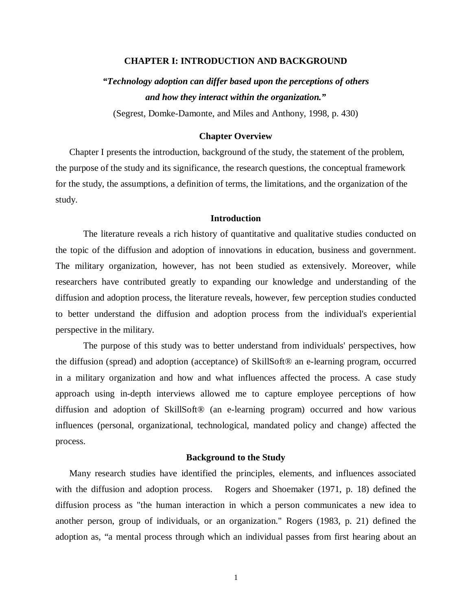## **CHAPTER I: INTRODUCTION AND BACKGROUND**

# *"Technology adoption can differ based upon the perceptions of others and how they interact within the organization."*

(Segrest, Domke-Damonte, and Miles and Anthony, 1998, p. 430)

## **Chapter Overview**

Chapter I presents the introduction, background of the study, the statement of the problem, the purpose of the study and its significance, the research questions, the conceptual framework for the study, the assumptions, a definition of terms, the limitations, and the organization of the study.

## **Introduction**

The literature reveals a rich history of quantitative and qualitative studies conducted on the topic of the diffusion and adoption of innovations in education, business and government. The military organization, however, has not been studied as extensively. Moreover, while researchers have contributed greatly to expanding our knowledge and understanding of the diffusion and adoption process, the literature reveals, however, few perception studies conducted to better understand the diffusion and adoption process from the individual's experiential perspective in the military.

The purpose of this study was to better understand from individuals' perspectives, how the diffusion (spread) and adoption (acceptance) of SkillSoft® an e-learning program, occurred in a military organization and how and what influences affected the process. A case study approach using in-depth interviews allowed me to capture employee perceptions of how diffusion and adoption of SkillSoft® (an e-learning program) occurred and how various influences (personal, organizational, technological, mandated policy and change) affected the process.

## **Background to the Study**

Many research studies have identified the principles, elements, and influences associated with the diffusion and adoption process. Rogers and Shoemaker (1971, p. 18) defined the diffusion process as "the human interaction in which a person communicates a new idea to another person, group of individuals, or an organization." Rogers (1983, p. 21) defined the adoption as, "a mental process through which an individual passes from first hearing about an

1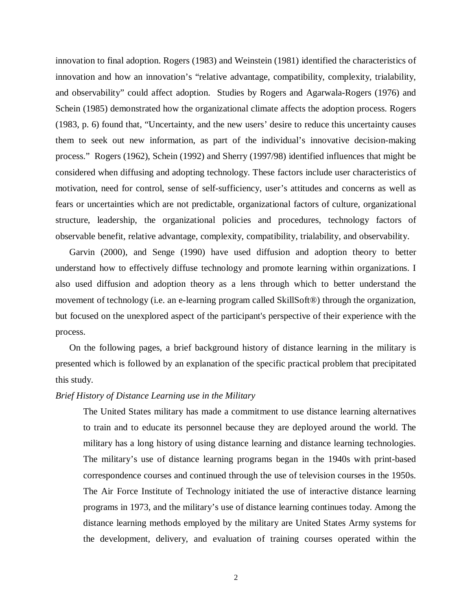innovation to final adoption. Rogers (1983) and Weinstein (1981) identified the characteristics of innovation and how an innovation's "relative advantage, compatibility, complexity, trialability, and observability" could affect adoption. Studies by Rogers and Agarwala-Rogers (1976) and Schein (1985) demonstrated how the organizational climate affects the adoption process. Rogers (1983, p. 6) found that, "Uncertainty, and the new users' desire to reduce this uncertainty causes them to seek out new information, as part of the individual's innovative decision-making process." Rogers (1962), Schein (1992) and Sherry (1997/98) identified influences that might be considered when diffusing and adopting technology. These factors include user characteristics of motivation, need for control, sense of self-sufficiency, user's attitudes and concerns as well as fears or uncertainties which are not predictable, organizational factors of culture, organizational structure, leadership, the organizational policies and procedures, technology factors of observable benefit, relative advantage, complexity, compatibility, trialability, and observability.

Garvin (2000), and Senge (1990) have used diffusion and adoption theory to better understand how to effectively diffuse technology and promote learning within organizations. I also used diffusion and adoption theory as a lens through which to better understand the movement of technology (i.e. an e-learning program called SkillSoft®) through the organization, but focused on the unexplored aspect of the participant's perspective of their experience with the process.

On the following pages, a brief background history of distance learning in the military is presented which is followed by an explanation of the specific practical problem that precipitated this study.

## *Brief History of Distance Learning use in the Military*

The United States military has made a commitment to use distance learning alternatives to train and to educate its personnel because they are deployed around the world. The military has a long history of using distance learning and distance learning technologies. The military's use of distance learning programs began in the 1940s with print-based correspondence courses and continued through the use of television courses in the 1950s. The Air Force Institute of Technology initiated the use of interactive distance learning programs in 1973, and the military's use of distance learning continues today. Among the distance learning methods employed by the military are United States Army systems for the development, delivery, and evaluation of training courses operated within the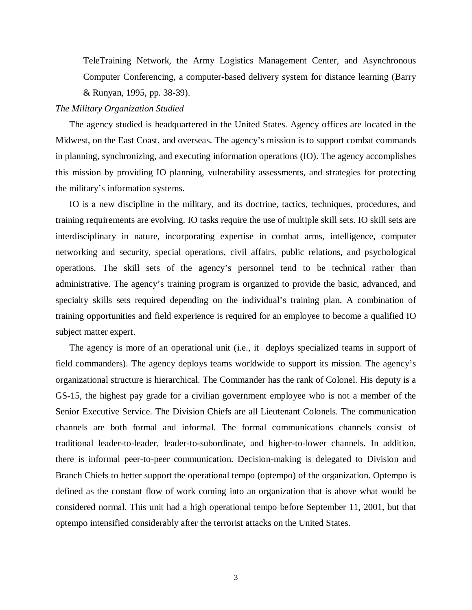TeleTraining Network, the Army Logistics Management Center, and Asynchronous Computer Conferencing, a computer-based delivery system for distance learning (Barry & Runyan, 1995, pp. 38-39).

## *The Military Organization Studied*

The agency studied is headquartered in the United States. Agency offices are located in the Midwest, on the East Coast, and overseas. The agency's mission is to support combat commands in planning, synchronizing, and executing information operations (IO). The agency accomplishes this mission by providing IO planning, vulnerability assessments, and strategies for protecting the military's information systems.

IO is a new discipline in the military, and its doctrine, tactics, techniques, procedures, and training requirements are evolving. IO tasks require the use of multiple skill sets. IO skill sets are interdisciplinary in nature, incorporating expertise in combat arms, intelligence, computer networking and security, special operations, civil affairs, public relations, and psychological operations. The skill sets of the agency's personnel tend to be technical rather than administrative. The agency's training program is organized to provide the basic, advanced, and specialty skills sets required depending on the individual's training plan. A combination of training opportunities and field experience is required for an employee to become a qualified IO subject matter expert.

The agency is more of an operational unit (i.e., it deploys specialized teams in support of field commanders). The agency deploys teams worldwide to support its mission. The agency's organizational structure is hierarchical. The Commander has the rank of Colonel. His deputy is a GS-15, the highest pay grade for a civilian government employee who is not a member of the Senior Executive Service. The Division Chiefs are all Lieutenant Colonels. The communication channels are both formal and informal. The formal communications channels consist of traditional leader-to-leader, leader-to-subordinate, and higher-to-lower channels. In addition, there is informal peer-to-peer communication. Decision-making is delegated to Division and Branch Chiefs to better support the operational tempo (optempo) of the organization. Optempo is defined as the constant flow of work coming into an organization that is above what would be considered normal. This unit had a high operational tempo before September 11, 2001, but that optempo intensified considerably after the terrorist attacks on the United States.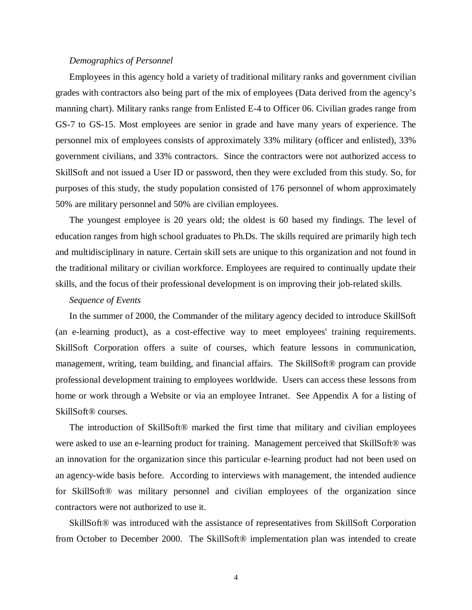#### *Demographics of Personnel*

Employees in this agency hold a variety of traditional military ranks and government civilian grades with contractors also being part of the mix of employees (Data derived from the agency's manning chart). Military ranks range from Enlisted E-4 to Officer 06. Civilian grades range from GS-7 to GS-15. Most employees are senior in grade and have many years of experience. The personnel mix of employees consists of approximately 33% military (officer and enlisted), 33% government civilians, and 33% contractors. Since the contractors were not authorized access to SkillSoft and not issued a User ID or password, then they were excluded from this study. So, for purposes of this study, the study population consisted of 176 personnel of whom approximately 50% are military personnel and 50% are civilian employees.

The youngest employee is 20 years old; the oldest is 60 based my findings. The level of education ranges from high school graduates to Ph.Ds. The skills required are primarily high tech and multidisciplinary in nature. Certain skill sets are unique to this organization and not found in the traditional military or civilian workforce. Employees are required to continually update their skills, and the focus of their professional development is on improving their job-related skills.

## *Sequence of Events*

In the summer of 2000, the Commander of the military agency decided to introduce SkillSoft (an e-learning product), as a cost-effective way to meet employees' training requirements. SkillSoft Corporation offers a suite of courses, which feature lessons in communication, management, writing, team building, and financial affairs. The SkillSoft® program can provide professional development training to employees worldwide. Users can access these lessons from home or work through a Website or via an employee Intranet. See Appendix A for a listing of SkillSoft® courses.

The introduction of SkillSoft® marked the first time that military and civilian employees were asked to use an e-learning product for training. Management perceived that SkillSoft® was an innovation for the organization since this particular e-learning product had not been used on an agency-wide basis before. According to interviews with management, the intended audience for SkillSoft® was military personnel and civilian employees of the organization since contractors were not authorized to use it.

SkillSoft® was introduced with the assistance of representatives from SkillSoft Corporation from October to December 2000. The SkillSoft® implementation plan was intended to create

4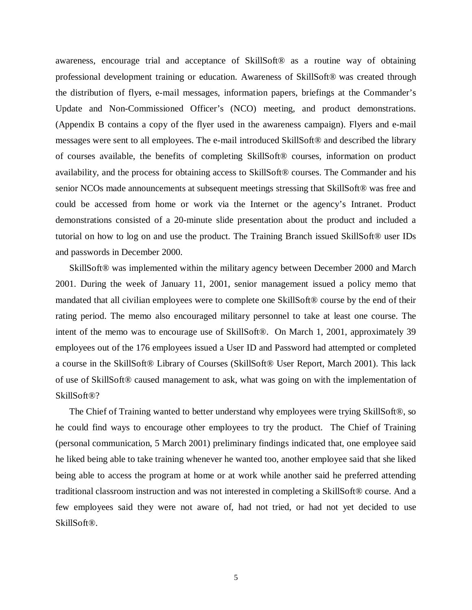awareness, encourage trial and acceptance of SkillSoft® as a routine way of obtaining professional development training or education. Awareness of SkillSoft® was created through the distribution of flyers, e-mail messages, information papers, briefings at the Commander's Update and Non-Commissioned Officer's (NCO) meeting, and product demonstrations. (Appendix B contains a copy of the flyer used in the awareness campaign). Flyers and e-mail messages were sent to all employees. The e-mail introduced SkillSoft® and described the library of courses available, the benefits of completing SkillSoft® courses, information on product availability, and the process for obtaining access to SkillSoft® courses. The Commander and his senior NCOs made announcements at subsequent meetings stressing that SkillSoft® was free and could be accessed from home or work via the Internet or the agency's Intranet. Product demonstrations consisted of a 20-minute slide presentation about the product and included a tutorial on how to log on and use the product. The Training Branch issued SkillSoft® user IDs and passwords in December 2000.

SkillSoft® was implemented within the military agency between December 2000 and March 2001. During the week of January 11, 2001, senior management issued a policy memo that mandated that all civilian employees were to complete one SkillSoft® course by the end of their rating period. The memo also encouraged military personnel to take at least one course. The intent of the memo was to encourage use of SkillSoft®. On March 1, 2001, approximately 39 employees out of the 176 employees issued a User ID and Password had attempted or completed a course in the SkillSoft® Library of Courses (SkillSoft® User Report, March 2001). This lack of use of SkillSoft® caused management to ask, what was going on with the implementation of SkillSoft®?

The Chief of Training wanted to better understand why employees were trying SkillSoft®, so he could find ways to encourage other employees to try the product. The Chief of Training (personal communication, 5 March 2001) preliminary findings indicated that, one employee said he liked being able to take training whenever he wanted too, another employee said that she liked being able to access the program at home or at work while another said he preferred attending traditional classroom instruction and was not interested in completing a SkillSoft® course. And a few employees said they were not aware of, had not tried, or had not yet decided to use SkillSoft®.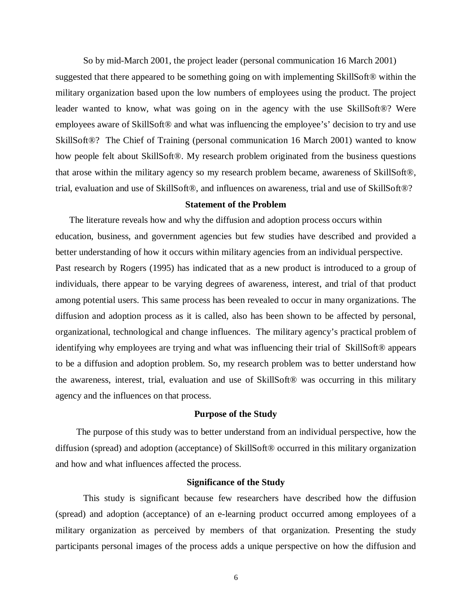So by mid-March 2001, the project leader (personal communication 16 March 2001) suggested that there appeared to be something going on with implementing SkillSoft® within the military organization based upon the low numbers of employees using the product. The project leader wanted to know, what was going on in the agency with the use SkillSoft®? Were employees aware of SkillSoft® and what was influencing the employee's' decision to try and use SkillSoft®? The Chief of Training (personal communication 16 March 2001) wanted to know how people felt about SkillSoft®. My research problem originated from the business questions that arose within the military agency so my research problem became, awareness of SkillSoft®, trial, evaluation and use of SkillSoft®, and influences on awareness, trial and use of SkillSoft®?

## **Statement of the Problem**

The literature reveals how and why the diffusion and adoption process occurs within education, business, and government agencies but few studies have described and provided a better understanding of how it occurs within military agencies from an individual perspective. Past research by Rogers (1995) has indicated that as a new product is introduced to a group of individuals, there appear to be varying degrees of awareness, interest, and trial of that product among potential users. This same process has been revealed to occur in many organizations. The diffusion and adoption process as it is called, also has been shown to be affected by personal, organizational, technological and change influences. The military agency's practical problem of identifying why employees are trying and what was influencing their trial of SkillSoft® appears to be a diffusion and adoption problem. So, my research problem was to better understand how the awareness, interest, trial, evaluation and use of SkillSoft® was occurring in this military agency and the influences on that process.

## **Purpose of the Study**

The purpose of this study was to better understand from an individual perspective, how the diffusion (spread) and adoption (acceptance) of SkillSoft® occurred in this military organization and how and what influences affected the process.

## **Significance of the Study**

 This study is significant because few researchers have described how the diffusion (spread) and adoption (acceptance) of an e-learning product occurred among employees of a military organization as perceived by members of that organization. Presenting the study participants personal images of the process adds a unique perspective on how the diffusion and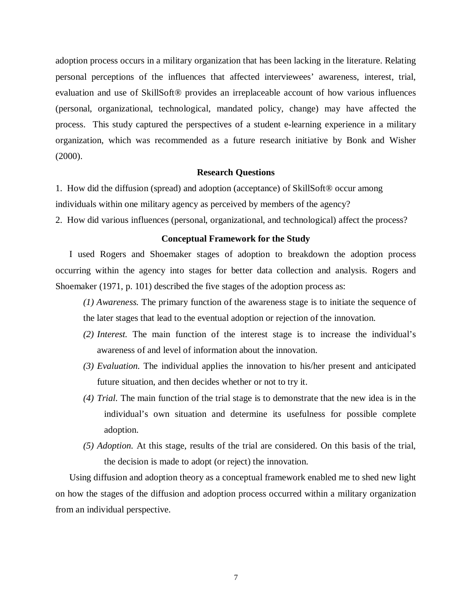adoption process occurs in a military organization that has been lacking in the literature. Relating personal perceptions of the influences that affected interviewees' awareness, interest, trial, evaluation and use of SkillSoft® provides an irreplaceable account of how various influences (personal, organizational, technological, mandated policy, change) may have affected the process. This study captured the perspectives of a student e-learning experience in a military organization, which was recommended as a future research initiative by Bonk and Wisher (2000).

## **Research Questions**

1. How did the diffusion (spread) and adoption (acceptance) of SkillSoft® occur among individuals within one military agency as perceived by members of the agency?

2. How did various influences (personal, organizational, and technological) affect the process?

## **Conceptual Framework for the Study**

I used Rogers and Shoemaker stages of adoption to breakdown the adoption process occurring within the agency into stages for better data collection and analysis. Rogers and Shoemaker (1971, p. 101) described the five stages of the adoption process as:

- *(1) Awareness.* The primary function of the awareness stage is to initiate the sequence of the later stages that lead to the eventual adoption or rejection of the innovation.
- *(2) Interest.* The main function of the interest stage is to increase the individual's awareness of and level of information about the innovation.
- *(3) Evaluation.* The individual applies the innovation to his/her present and anticipated future situation, and then decides whether or not to try it.
- *(4) Trial.* The main function of the trial stage is to demonstrate that the new idea is in the individual's own situation and determine its usefulness for possible complete adoption.
- *(5) Adoption.* At this stage, results of the trial are considered. On this basis of the trial, the decision is made to adopt (or reject) the innovation.

Using diffusion and adoption theory as a conceptual framework enabled me to shed new light on how the stages of the diffusion and adoption process occurred within a military organization from an individual perspective.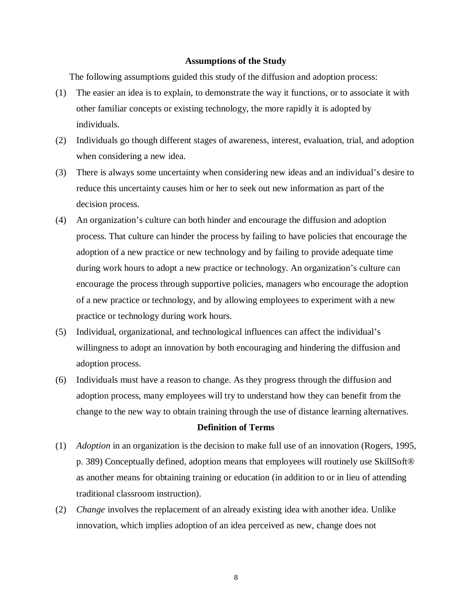#### **Assumptions of the Study**

The following assumptions guided this study of the diffusion and adoption process:

- (1) The easier an idea is to explain, to demonstrate the way it functions, or to associate it with other familiar concepts or existing technology, the more rapidly it is adopted by individuals.
- (2) Individuals go though different stages of awareness, interest, evaluation, trial, and adoption when considering a new idea.
- (3) There is always some uncertainty when considering new ideas and an individual's desire to reduce this uncertainty causes him or her to seek out new information as part of the decision process.
- (4) An organization's culture can both hinder and encourage the diffusion and adoption process. That culture can hinder the process by failing to have policies that encourage the adoption of a new practice or new technology and by failing to provide adequate time during work hours to adopt a new practice or technology. An organization's culture can encourage the process through supportive policies, managers who encourage the adoption of a new practice or technology, and by allowing employees to experiment with a new practice or technology during work hours.
- (5) Individual, organizational, and technological influences can affect the individual's willingness to adopt an innovation by both encouraging and hindering the diffusion and adoption process.
- (6) Individuals must have a reason to change. As they progress through the diffusion and adoption process, many employees will try to understand how they can benefit from the change to the new way to obtain training through the use of distance learning alternatives.

## **Definition of Terms**

- (1) *Adoption* in an organization is the decision to make full use of an innovation (Rogers, 1995, p. 389) Conceptually defined, adoption means that employees will routinely use SkillSoft® as another means for obtaining training or education (in addition to or in lieu of attending traditional classroom instruction).
- (2) *Change* involves the replacement of an already existing idea with another idea. Unlike innovation, which implies adoption of an idea perceived as new, change does not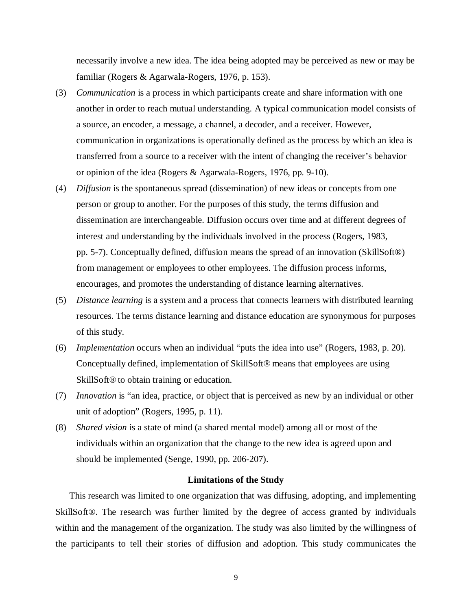necessarily involve a new idea. The idea being adopted may be perceived as new or may be familiar (Rogers & Agarwala-Rogers, 1976, p. 153).

- (3) *Communication* is a process in which participants create and share information with one another in order to reach mutual understanding. A typical communication model consists of a source, an encoder, a message, a channel, a decoder, and a receiver. However, communication in organizations is operationally defined as the process by which an idea is transferred from a source to a receiver with the intent of changing the receiver's behavior or opinion of the idea (Rogers & Agarwala-Rogers, 1976, pp. 9-10).
- (4) *Diffusion* is the spontaneous spread (dissemination) of new ideas or concepts from one person or group to another. For the purposes of this study, the terms diffusion and dissemination are interchangeable. Diffusion occurs over time and at different degrees of interest and understanding by the individuals involved in the process (Rogers, 1983, pp. 5-7). Conceptually defined, diffusion means the spread of an innovation (SkillSoft®) from management or employees to other employees. The diffusion process informs, encourages, and promotes the understanding of distance learning alternatives.
- (5) *Distance learning* is a system and a process that connects learners with distributed learning resources. The terms distance learning and distance education are synonymous for purposes of this study.
- (6) *Implementation* occurs when an individual "puts the idea into use" (Rogers, 1983, p. 20). Conceptually defined, implementation of SkillSoft® means that employees are using SkillSoft® to obtain training or education.
- (7) *Innovation* is "an idea, practice, or object that is perceived as new by an individual or other unit of adoption" (Rogers, 1995, p. 11).
- (8) *Shared vision* is a state of mind (a shared mental model) among all or most of the individuals within an organization that the change to the new idea is agreed upon and should be implemented (Senge, 1990, pp. 206-207).

## **Limitations of the Study**

This research was limited to one organization that was diffusing, adopting, and implementing SkillSoft®. The research was further limited by the degree of access granted by individuals within and the management of the organization. The study was also limited by the willingness of the participants to tell their stories of diffusion and adoption. This study communicates the